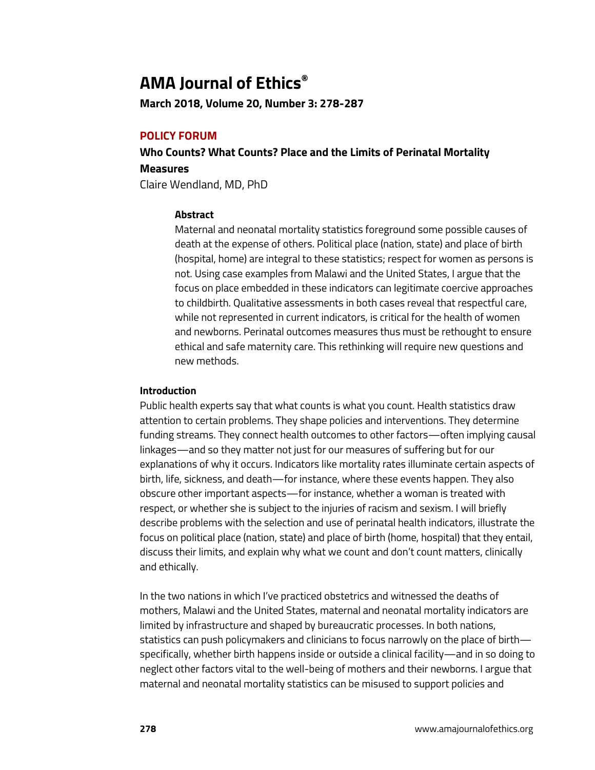# **AMA Journal of Ethics®**

**March 2018, Volume 20, Number 3: 278-287**

# **POLICY FORUM**

**Who Counts? What Counts? Place and the Limits of Perinatal Mortality Measures**

Claire Wendland, MD, PhD

## **Abstract**

Maternal and neonatal mortality statistics foreground some possible causes of death at the expense of others. Political place (nation, state) and place of birth (hospital, home) are integral to these statistics; respect for women as persons is not. Using case examples from Malawi and the United States, I argue that the focus on place embedded in these indicators can legitimate coercive approaches to childbirth. Qualitative assessments in both cases reveal that respectful care, while not represented in current indicators, is critical for the health of women and newborns. Perinatal outcomes measures thus must be rethought to ensure ethical and safe maternity care. This rethinking will require new questions and new methods.

## **Introduction**

Public health experts say that what counts is what you count. Health statistics draw attention to certain problems. They shape policies and interventions. They determine funding streams. They connect health outcomes to other factors—often implying causal linkages—and so they matter not just for our measures of suffering but for our explanations of why it occurs. Indicators like mortality rates illuminate certain aspects of birth, life, sickness, and death—for instance, where these events happen. They also obscure other important aspects—for instance, whether a woman is treated with respect, or whether she is subject to the injuries of racism and sexism. I will briefly describe problems with the selection and use of perinatal health indicators, illustrate the focus on political place (nation, state) and place of birth (home, hospital) that they entail, discuss their limits, and explain why what we count and don't count matters, clinically and ethically.

In the two nations in which I've practiced obstetrics and witnessed the deaths of mothers, Malawi and the United States, maternal and neonatal mortality indicators are limited by infrastructure and shaped by bureaucratic processes. In both nations, statistics can push policymakers and clinicians to focus narrowly on the place of birth specifically, whether birth happens inside or outside a clinical facility—and in so doing to neglect other factors vital to the well-being of mothers and their newborns. I argue that maternal and neonatal mortality statistics can be misused to support policies and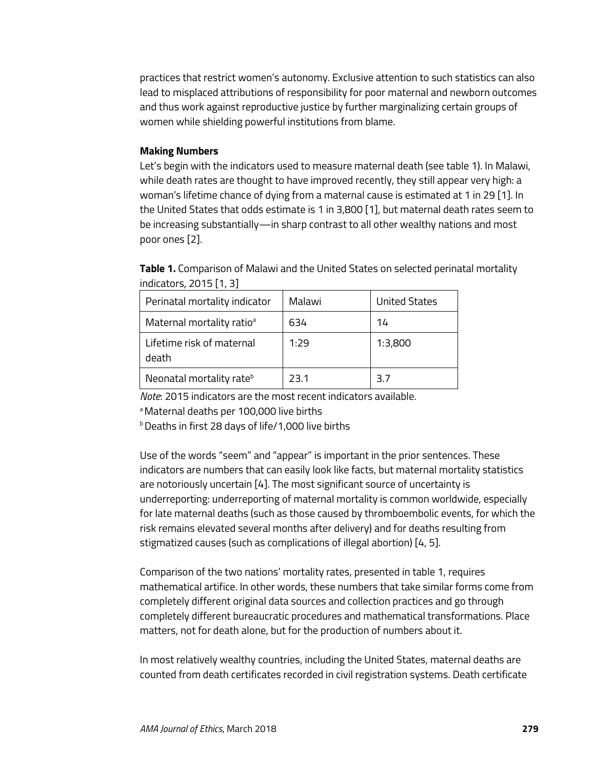practices that restrict women's autonomy. Exclusive attention to such statistics can also lead to misplaced attributions of responsibility for poor maternal and newborn outcomes and thus work against reproductive justice by further marginalizing certain groups of women while shielding powerful institutions from blame.

## **Making Numbers**

Let's begin with the indicators used to measure maternal death (see table 1). In Malawi, while death rates are thought to have improved recently, they still appear very high: a woman's lifetime chance of dying from a maternal cause is estimated at 1 in 29 [1]. In the United States that odds estimate is 1 in 3,800 [1], but maternal death rates seem to be increasing substantially—in sharp contrast to all other wealthy nations and most poor ones [2].

| Table 1. Comparison of Malawi and the United States on selected perinatal mortality |
|-------------------------------------------------------------------------------------|
| indicators, 2015 [1, 3]                                                             |

| Perinatal mortality indicator         | Malawi | <b>United States</b> |
|---------------------------------------|--------|----------------------|
| Maternal mortality ratio <sup>a</sup> | 634    | 14                   |
| Lifetime risk of maternal<br>death    | 1:29   | 1:3,800              |
| Neonatal mortality rate <sup>b</sup>  | 23.1   | 3.7                  |

*Note*: 2015 indicators are the most recent indicators available.

a Maternal deaths per 100,000 live births

**b** Deaths in first 28 days of life/1,000 live births

Use of the words "seem" and "appear" is important in the prior sentences. These indicators are numbers that can easily look like facts, but maternal mortality statistics are notoriously uncertain [4]. The most significant source of uncertainty is underreporting: underreporting of maternal mortality is common worldwide, especially for late maternal deaths (such as those caused by thromboembolic events, for which the risk remains elevated several months after delivery) and for deaths resulting from stigmatized causes (such as complications of illegal abortion) [4, 5].

Comparison of the two nations' mortality rates, presented in table 1, requires mathematical artifice. In other words, these numbers that take similar forms come from completely different original data sources and collection practices and go through completely different bureaucratic procedures and mathematical transformations. Place matters, not for death alone, but for the production of numbers about it.

In most relatively wealthy countries, including the United States, maternal deaths are counted from death certificates recorded in civil registration systems. Death certificate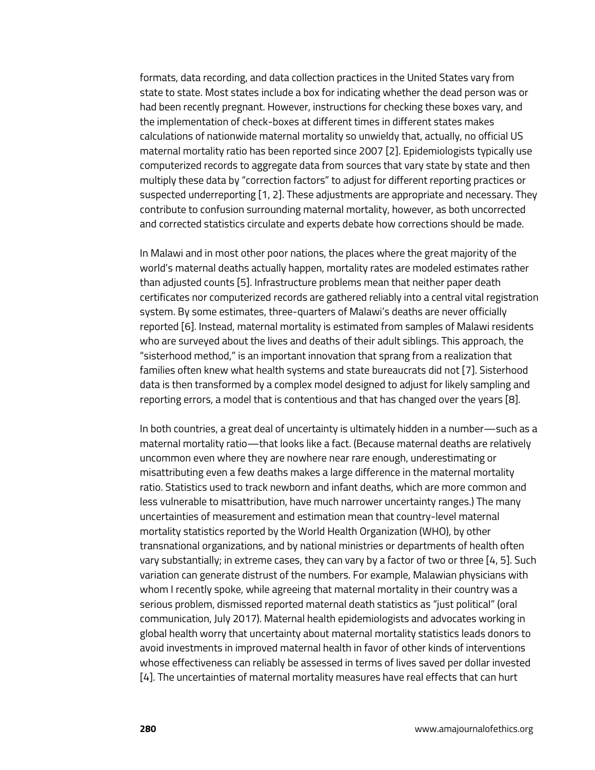formats, data recording, and data collection practices in the United States vary from state to state. Most states include a box for indicating whether the dead person was or had been recently pregnant. However, instructions for checking these boxes vary, and the implementation of check-boxes at different times in different states makes calculations of nationwide maternal mortality so unwieldy that, actually, no official US maternal mortality ratio has been reported since 2007 [2]. Epidemiologists typically use computerized records to aggregate data from sources that vary state by state and then multiply these data by "correction factors" to adjust for different reporting practices or suspected underreporting [1, 2]. These adjustments are appropriate and necessary. They contribute to confusion surrounding maternal mortality, however, as both uncorrected and corrected statistics circulate and experts debate how corrections should be made.

In Malawi and in most other poor nations, the places where the great majority of the world's maternal deaths actually happen, mortality rates are modeled estimates rather than adjusted counts [5]. Infrastructure problems mean that neither paper death certificates nor computerized records are gathered reliably into a central vital registration system. By some estimates, three-quarters of Malawi's deaths are never officially reported [6]. Instead, maternal mortality is estimated from samples of Malawi residents who are surveyed about the lives and deaths of their adult siblings. This approach, the "sisterhood method," is an important innovation that sprang from a realization that families often knew what health systems and state bureaucrats did not [7]. Sisterhood data is then transformed by a complex model designed to adjust for likely sampling and reporting errors, a model that is contentious and that has changed over the years [8].

In both countries, a great deal of uncertainty is ultimately hidden in a number—such as a maternal mortality ratio—that looks like a fact. (Because maternal deaths are relatively uncommon even where they are nowhere near rare enough, underestimating or misattributing even a few deaths makes a large difference in the maternal mortality ratio. Statistics used to track newborn and infant deaths, which are more common and less vulnerable to misattribution, have much narrower uncertainty ranges.) The many uncertainties of measurement and estimation mean that country-level maternal mortality statistics reported by the World Health Organization (WHO), by other transnational organizations, and by national ministries or departments of health often vary substantially; in extreme cases, they can vary by a factor of two or three [4, 5]. Such variation can generate distrust of the numbers. For example, Malawian physicians with whom I recently spoke, while agreeing that maternal mortality in their country was a serious problem, dismissed reported maternal death statistics as "just political" (oral communication, July 2017). Maternal health epidemiologists and advocates working in global health worry that uncertainty about maternal mortality statistics leads donors to avoid investments in improved maternal health in favor of other kinds of interventions whose effectiveness can reliably be assessed in terms of lives saved per dollar invested [4]. The uncertainties of maternal mortality measures have real effects that can hurt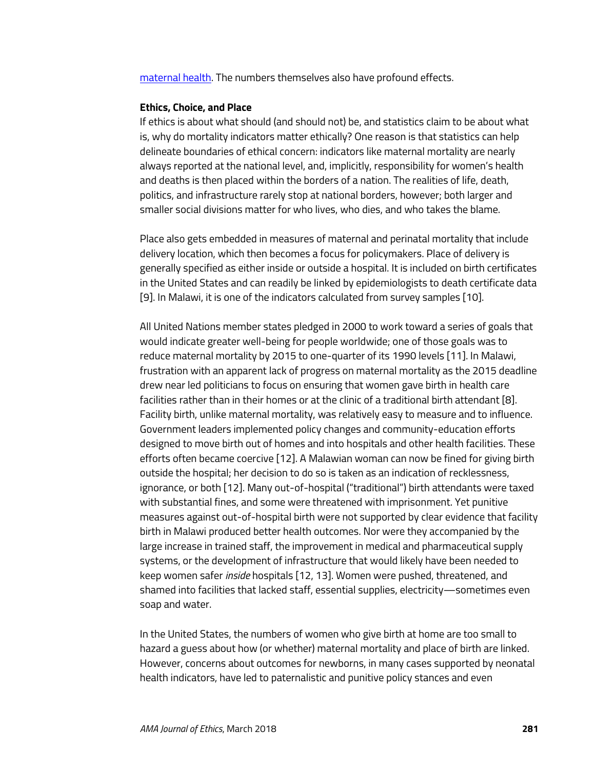[maternal health.](http://journalofethics.ama-assn.org/2016/07/msoc1-1607.html) The numbers themselves also have profound effects.

#### **Ethics, Choice, and Place**

If ethics is about what should (and should not) be, and statistics claim to be about what is, why do mortality indicators matter ethically? One reason is that statistics can help delineate boundaries of ethical concern: indicators like maternal mortality are nearly always reported at the national level, and, implicitly, responsibility for women's health and deaths is then placed within the borders of a nation. The realities of life, death, politics, and infrastructure rarely stop at national borders, however; both larger and smaller social divisions matter for who lives, who dies, and who takes the blame.

Place also gets embedded in measures of maternal and perinatal mortality that include delivery location, which then becomes a focus for policymakers. Place of delivery is generally specified as either inside or outside a hospital. It is included on birth certificates in the United States and can readily be linked by epidemiologists to death certificate data [9]. In Malawi, it is one of the indicators calculated from survey samples [10].

All United Nations member states pledged in 2000 to work toward a series of goals that would indicate greater well-being for people worldwide; one of those goals was to reduce maternal mortality by 2015 to one-quarter of its 1990 levels [11]. In Malawi, frustration with an apparent lack of progress on maternal mortality as the 2015 deadline drew near led politicians to focus on ensuring that women gave birth in health care facilities rather than in their homes or at the clinic of a traditional birth attendant [8]. Facility birth, unlike maternal mortality, was relatively easy to measure and to influence. Government leaders implemented policy changes and community-education efforts designed to move birth out of homes and into hospitals and other health facilities. These efforts often became coercive [12]. A Malawian woman can now be fined for giving birth outside the hospital; her decision to do so is taken as an indication of recklessness, ignorance, or both [12]. Many out-of-hospital ("traditional") birth attendants were taxed with substantial fines, and some were threatened with imprisonment. Yet punitive measures against out-of-hospital birth were not supported by clear evidence that facility birth in Malawi produced better health outcomes. Nor were they accompanied by the large increase in trained staff, the improvement in medical and pharmaceutical supply systems, or the development of infrastructure that would likely have been needed to keep women safer *inside* hospitals [12, 13]. Women were pushed, threatened, and shamed into facilities that lacked staff, essential supplies, electricity—sometimes even soap and water.

In the United States, the numbers of women who give birth at home are too small to hazard a guess about how (or whether) maternal mortality and place of birth are linked. However, concerns about outcomes for newborns, in many cases supported by neonatal health indicators, have led to paternalistic and punitive policy stances and even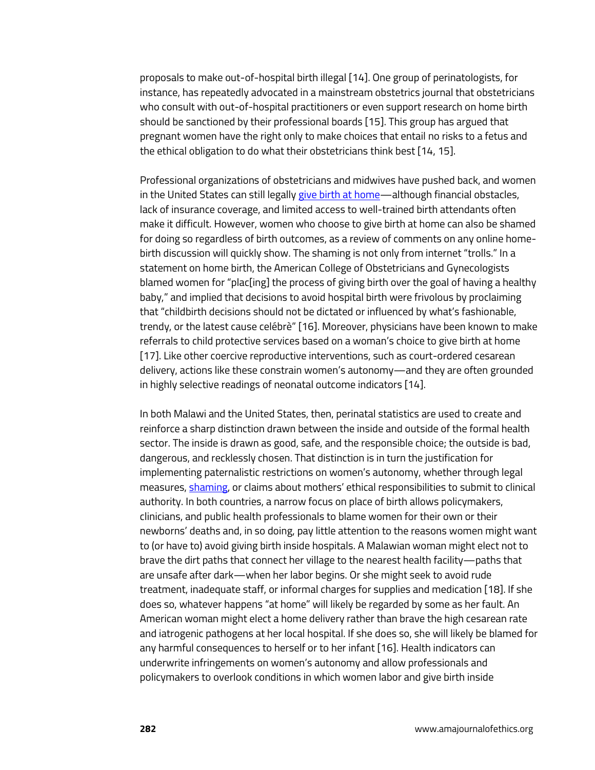proposals to make out-of-hospital birth illegal [14]. One group of perinatologists, for instance, has repeatedly advocated in a mainstream obstetrics journal that obstetricians who consult with out-of-hospital practitioners or even support research on home birth should be sanctioned by their professional boards [15]. This group has argued that pregnant women have the right only to make choices that entail no risks to a fetus and the ethical obligation to do what their obstetricians think best [14, 15].

Professional organizations of obstetricians and midwives have pushed back, and women in the United States can still legally [give birth at home—](http://journalofethics.ama-assn.org/2014/10/oped1-1410.html)although financial obstacles, lack of insurance coverage, and limited access to well-trained birth attendants often make it difficult. However, women who choose to give birth at home can also be shamed for doing so regardless of birth outcomes, as a review of comments on any online homebirth discussion will quickly show. The shaming is not only from internet "trolls." In a statement on home birth, the American College of Obstetricians and Gynecologists blamed women for "plac[ing] the process of giving birth over the goal of having a healthy baby," and implied that decisions to avoid hospital birth were frivolous by proclaiming that "childbirth decisions should not be dictated or influenced by what's fashionable, trendy, or the latest cause celébrè" [16]. Moreover, physicians have been known to make referrals to child protective services based on a woman's choice to give birth at home [17]. Like other coercive reproductive interventions, such as court-ordered cesarean delivery, actions like these constrain women's autonomy—and they are often grounded in highly selective readings of neonatal outcome indicators [14].

In both Malawi and the United States, then, perinatal statistics are used to create and reinforce a sharp distinction drawn between the inside and outside of the formal health sector. The inside is drawn as good, safe, and the responsible choice; the outside is bad, dangerous, and recklessly chosen. That distinction is in turn the justification for implementing paternalistic restrictions on women's autonomy, whether through legal measures[, shaming,](http://journalofethics.ama-assn.org/2018/03/ecas2-1803.html) or claims about mothers' ethical responsibilities to submit to clinical authority. In both countries, a narrow focus on place of birth allows policymakers, clinicians, and public health professionals to blame women for their own or their newborns' deaths and, in so doing, pay little attention to the reasons women might want to (or have to) avoid giving birth inside hospitals. A Malawian woman might elect not to brave the dirt paths that connect her village to the nearest health facility—paths that are unsafe after dark—when her labor begins. Or she might seek to avoid rude treatment, inadequate staff, or informal charges for supplies and medication [18]. If she does so, whatever happens "at home" will likely be regarded by some as her fault. An American woman might elect a home delivery rather than brave the high cesarean rate and iatrogenic pathogens at her local hospital. If she does so, she will likely be blamed for any harmful consequences to herself or to her infant [16]. Health indicators can underwrite infringements on women's autonomy and allow professionals and policymakers to overlook conditions in which women labor and give birth inside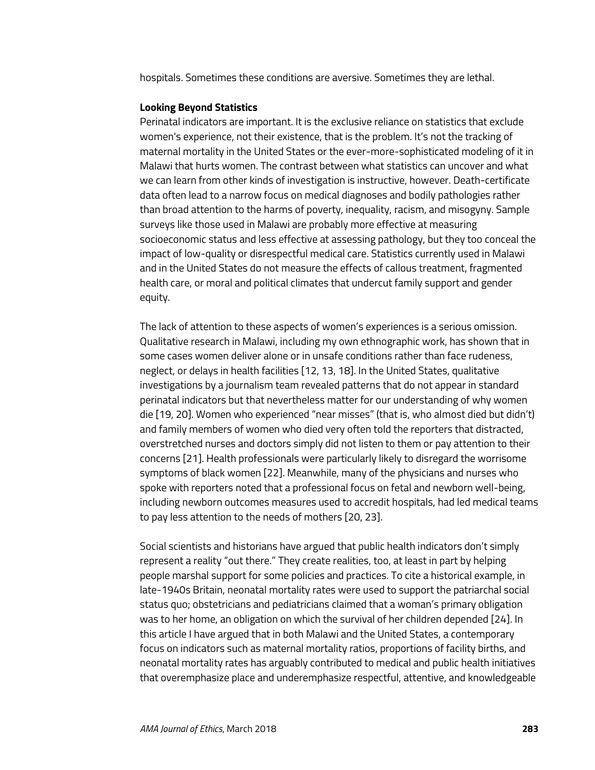hospitals. Sometimes these conditions are aversive. Sometimes they are lethal.

#### **Looking Beyond Statistics**

Perinatal indicators are important. It is the exclusive reliance on statistics that exclude women's experience, not their existence, that is the problem. It's not the tracking of maternal mortality in the United States or the ever-more-sophisticated modeling of it in Malawi that hurts women. The contrast between what statistics can uncover and what we can learn from other kinds of investigation is instructive, however. Death-certificate data often lead to a narrow focus on medical diagnoses and bodily pathologies rather than broad attention to the harms of poverty, inequality, racism, and misogyny. Sample surveys like those used in Malawi are probably more effective at measuring socioeconomic status and less effective at assessing pathology, but they too conceal the impact of low-quality or disrespectful medical care. Statistics currently used in Malawi and in the United States do not measure the effects of callous treatment, fragmented health care, or moral and political climates that undercut family support and gender equity.

The lack of attention to these aspects of women's experiences is a serious omission. Qualitative research in Malawi, including my own ethnographic work, has shown that in some cases women deliver alone or in unsafe conditions rather than face rudeness, neglect, or delays in health facilities [12, 13, 18]. In the United States, qualitative investigations by a journalism team revealed patterns that do not appear in standard perinatal indicators but that nevertheless matter for our understanding of why women die [19, 20]. Women who experienced "near misses" (that is, who almost died but didn't) and family members of women who died very often told the reporters that distracted, overstretched nurses and doctors simply did not listen to them or pay attention to their concerns [21]. Health professionals were particularly likely to disregard the worrisome symptoms of black women [22]. Meanwhile, many of the physicians and nurses who spoke with reporters noted that a professional focus on fetal and newborn well-being, including newborn outcomes measures used to accredit hospitals, had led medical teams to pay less attention to the needs of mothers [20, 23].

Social scientists and historians have argued that public health indicators don't simply represent a reality "out there." They create realities, too, at least in part by helping people marshal support for some policies and practices. To cite a historical example, in late-1940s Britain, neonatal mortality rates were used to support the patriarchal social status quo; obstetricians and pediatricians claimed that a woman's primary obligation was to her home, an obligation on which the survival of her children depended [24]. In this article I have argued that in both Malawi and the United States, a contemporary focus on indicators such as maternal mortality ratios, proportions of facility births, and neonatal mortality rates has arguably contributed to medical and public health initiatives that overemphasize place and underemphasize respectful, attentive, and knowledgeable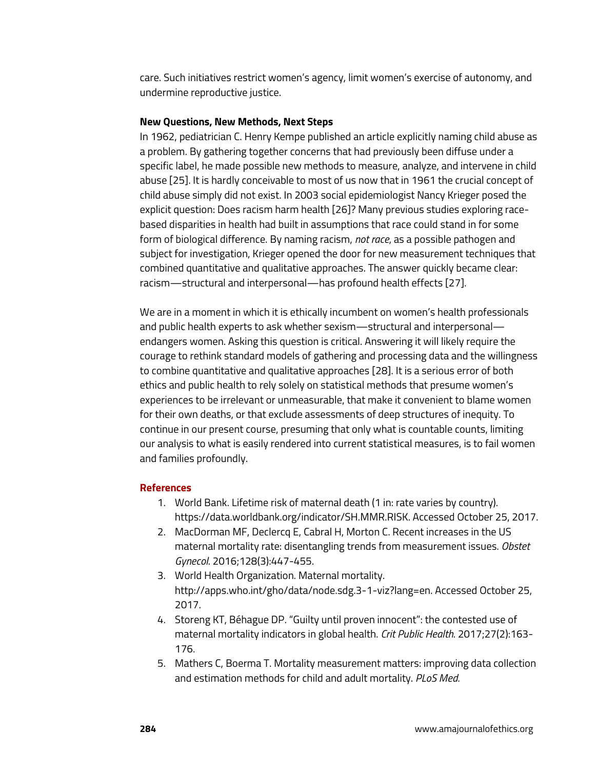care. Such initiatives restrict women's agency, limit women's exercise of autonomy, and undermine reproductive justice.

#### **New Questions, New Methods, Next Steps**

In 1962, pediatrician C. Henry Kempe published an article explicitly naming child abuse as a problem. By gathering together concerns that had previously been diffuse under a specific label, he made possible new methods to measure, analyze, and intervene in child abuse [25]. It is hardly conceivable to most of us now that in 1961 the crucial concept of child abuse simply did not exist. In 2003 social epidemiologist Nancy Krieger posed the explicit question: Does racism harm health [26]? Many previous studies exploring racebased disparities in health had built in assumptions that race could stand in for some form of biological difference. By naming racism, *not race*, as a possible pathogen and subject for investigation, Krieger opened the door for new measurement techniques that combined quantitative and qualitative approaches. The answer quickly became clear: racism—structural and interpersonal—has profound health effects [27].

We are in a moment in which it is ethically incumbent on women's health professionals and public health experts to ask whether sexism—structural and interpersonal endangers women. Asking this question is critical. Answering it will likely require the courage to rethink standard models of gathering and processing data and the willingness to combine quantitative and qualitative approaches [28]. It is a serious error of both ethics and public health to rely solely on statistical methods that presume women's experiences to be irrelevant or unmeasurable, that make it convenient to blame women for their own deaths, or that exclude assessments of deep structures of inequity. To continue in our present course, presuming that only what is countable counts, limiting our analysis to what is easily rendered into current statistical measures, is to fail women and families profoundly.

## **References**

- 1. World Bank. Lifetime risk of maternal death (1 in: rate varies by country). https://data.worldbank.org/indicator/SH.MMR.RISK. Accessed October 25, 2017.
- 2. MacDorman MF, Declercq E, Cabral H, Morton C. Recent increases in the US maternal mortality rate: disentangling trends from measurement issues. *Obstet Gynecol*. 2016;128(3):447-455.
- 3. World Health Organization. Maternal mortality. http://apps.who.int/gho/data/node.sdg.3-1-viz?lang=en. Accessed October 25, 2017.
- 4. Storeng KT, Béhague DP. "Guilty until proven innocent": the contested use of maternal mortality indicators in global health. *Crit Public Health*. 2017;27(2):163- 176.
- 5. Mathers C, Boerma T. Mortality measurement matters: improving data collection and estimation methods for child and adult mortality. *PLoS Med*.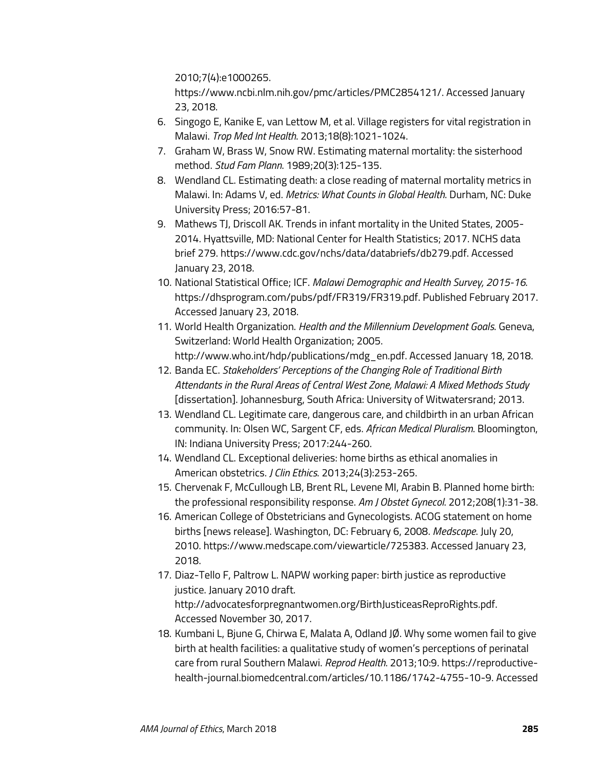2010;7(4):e1000265.

https://www.ncbi.nlm.nih.gov/pmc/articles/PMC2854121/. Accessed January 23, 2018.

- 6. Singogo E, Kanike E, van Lettow M, et al. Village registers for vital registration in Malawi. *Trop Med Int Health*. 2013;18(8):1021-1024.
- 7. Graham W, Brass W, Snow RW. Estimating maternal mortality: the sisterhood method. *Stud Fam Plann*. 1989;20(3):125-135.
- 8. Wendland CL. Estimating death: a close reading of maternal mortality metrics in Malawi. In: Adams V, ed. *Metrics: What Counts in Global Health*. Durham, NC: Duke University Press; 2016:57-81.
- 9. Mathews TJ, Driscoll AK. Trends in infant mortality in the United States, 2005- 2014. Hyattsville, MD: National Center for Health Statistics; 2017. NCHS data brief 279. https://www.cdc.gov/nchs/data/databriefs/db279.pdf. Accessed January 23, 2018.
- 10. National Statistical Office; ICF. *Malawi Demographic and Health Survey, 2015-16*. https://dhsprogram.com/pubs/pdf/FR319/FR319.pdf. Published February 2017. Accessed January 23, 2018.
- 11. World Health Organization. *Health and the Millennium Development Goals*. Geneva, Switzerland: World Health Organization; 2005. http://www.who.int/hdp/publications/mdg\_en.pdf. Accessed January 18, 2018.
- 12. Banda EC. *Stakeholders' Perceptions of the Changing Role of Traditional Birth Attendants in the Rural Areas of Central West Zone, Malawi: A Mixed Methods Study*  [dissertation]. Johannesburg, South Africa: University of Witwatersrand; 2013.
- 13. Wendland CL. Legitimate care, dangerous care, and childbirth in an urban African community. In: Olsen WC, Sargent CF, eds. *African Medical Pluralism*. Bloomington, IN: Indiana University Press; 2017:244-260.
- 14. Wendland CL. Exceptional deliveries: home births as ethical anomalies in American obstetrics. *J Clin Ethics*. 2013;24(3):253-265.
- 15. Chervenak F, McCullough LB, Brent RL, Levene MI, Arabin B. Planned home birth: the professional responsibility response. *Am J Obstet Gynecol*. 2012;208(1):31-38.
- 16. American College of Obstetricians and Gynecologists. ACOG statement on home births [news release]. Washington, DC: February 6, 2008. *Medscape*. July 20, 2010. https://www.medscape.com/viewarticle/725383. Accessed January 23, 2018.
- 17. Diaz-Tello F, Paltrow L. NAPW working paper: birth justice as reproductive justice. January 2010 draft. http://advocatesforpregnantwomen.org/BirthJusticeasReproRights.pdf. Accessed November 30, 2017.
- 18. Kumbani L, Bjune G, Chirwa E, Malata A, Odland JØ. Why some women fail to give birth at health facilities: a qualitative study of women's perceptions of perinatal care from rural Southern Malawi. *Reprod Health*. 2013;10:9. https://reproductivehealth-journal.biomedcentral.com/articles/10.1186/1742-4755-10-9. Accessed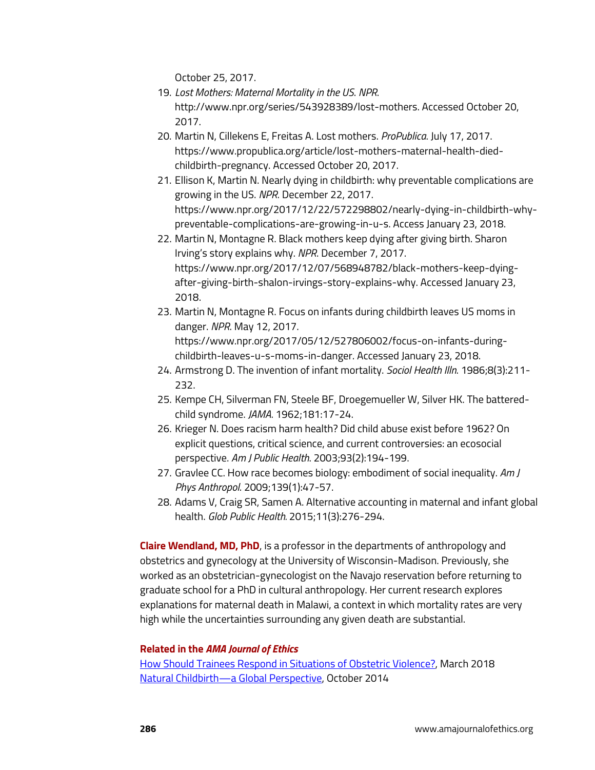October 25, 2017.

- 19. *Lost Mothers: Maternal Mortality in the US*. *NPR*. http://www.npr.org/series/543928389/lost-mothers. Accessed October 20, 2017.
- 20. Martin N, Cillekens E, Freitas A. Lost mothers. *ProPublica*. July 17, 2017. https://www.propublica.org/article/lost-mothers-maternal-health-diedchildbirth-pregnancy. Accessed October 20, 2017.
- 21. Ellison K, Martin N. Nearly dying in childbirth: why preventable complications are growing in the US. *NPR*. December 22, 2017. https://www.npr.org/2017/12/22/572298802/nearly-dying-in-childbirth-whypreventable-complications-are-growing-in-u-s. Access January 23, 2018.
- 22. Martin N, Montagne R. Black mothers keep dying after giving birth. Sharon Irving's story explains why. *NPR*. December 7, 2017. https://www.npr.org/2017/12/07/568948782/black-mothers-keep-dyingafter-giving-birth-shalon-irvings-story-explains-why. Accessed January 23, 2018.
- 23. Martin N, Montagne R. Focus on infants during childbirth leaves US moms in danger. *NPR*. May 12, 2017. https://www.npr.org/2017/05/12/527806002/focus-on-infants-duringchildbirth-leaves-u-s-moms-in-danger. Accessed January 23, 2018.
- 24. Armstrong D. The invention of infant mortality. *Sociol Health Illn*. 1986;8(3):211- 232.
- 25. Kempe CH, Silverman FN, Steele BF, Droegemueller W, Silver HK. The batteredchild syndrome. *JAMA*. 1962;181:17-24.
- 26. Krieger N. Does racism harm health? Did child abuse exist before 1962? On explicit questions, critical science, and current controversies: an ecosocial perspective. *Am J Public Health*. 2003;93(2):194-199.
- 27. Gravlee CC. How race becomes biology: embodiment of social inequality. *Am J Phys Anthropol*. 2009;139(1):47-57.
- 28. Adams V, Craig SR, Samen A. Alternative accounting in maternal and infant global health. *Glob Public Health.* 2015;11(3):276-294.

**Claire Wendland, MD, PhD**, is a professor in the departments of anthropology and obstetrics and gynecology at the University of Wisconsin-Madison. Previously, she worked as an obstetrician-gynecologist on the Navajo reservation before returning to graduate school for a PhD in cultural anthropology. Her current research explores explanations for maternal death in Malawi, a context in which mortality rates are very high while the uncertainties surrounding any given death are substantial.

## **Related in the** *AMA Journal of Ethics*

[How Should Trainees Respond in Situations of Obstetric Violence?,](http://journalofethics.ama-assn.org/2018/03/ecas2-1803.html) March 2018 [Natural Childbirth—a Global Perspective,](http://journalofethics.ama-assn.org/2014/10/oped1-1410.html) October 2014